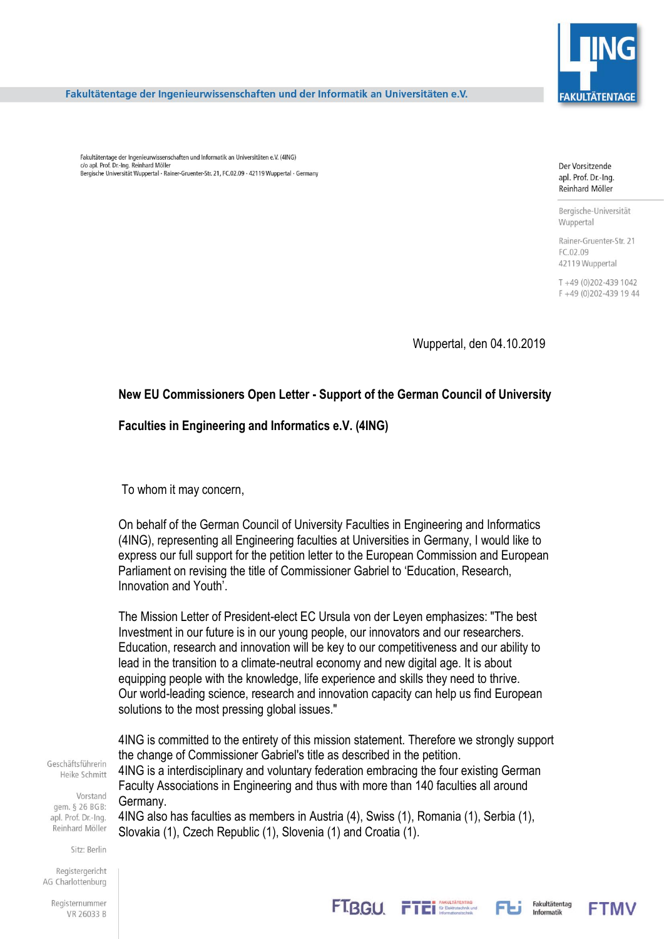

Fakultätentage der Ingenieurwissenschaften und der Informatik an Universitäten e.V.

Fakultätentage der Ingenieurwissenschaften und Informatik an Universitäten e.V. (4ING) c/o apl. Prof. Dr.-Ing. Reinhard Möller Bergische Universität Wuppertal - Rainer-Gruenter-Str. 21. FC.02.09 - 42119 Wuppertal - Germany

Der Vorsitzende apl. Prof. Dr.-Ing. Reinhard Möller

Bergische-Universität Wuppertal

Rainer-Gruenter-Str. 21 FC.02.09 42119 Wuppertal

T+49 (0)202-439 1042 F +49 (0)202-439 19 44

Wuppertal, den 04.10.2019

## **New EU Commissioners Open Letter - Support of the German Council of University**

## **Faculties in Engineering and Informatics e.V. (4ING)**

To whom it may concern,

On behalf of the German Council of University Faculties in Engineering and Informatics (4ING), representing all Engineering faculties at Universities in Germany, I would like to express our full support for the petition letter to the European Commission and European Parliament on revising the title of Commissioner Gabriel to 'Education, Research, Innovation and Youth'.

The Mission Letter of President-elect EC Ursula von der Leyen emphasizes: "The best Investment in our future is in our young people, our innovators and our researchers. Education, research and innovation will be key to our competitiveness and our ability to lead in the transition to a climate-neutral economy and new digital age. It is about equipping people with the knowledge, life experience and skills they need to thrive. Our world-leading science, research and innovation capacity can help us find European solutions to the most pressing global issues."

Geschäftsführerin Heike Schmitt

Vorstand gem. § 26 BGB: apl. Prof. Dr.-Ing. Reinhard Möller

Sitz: Berlin

Registergericht AG Charlottenburg

> Registernummer VR 26033 B

4ING is committed to the entirety of this mission statement. Therefore we strongly support the change of Commissioner Gabriel's title as described in the petition. 4ING is a interdisciplinary and voluntary federation embracing the four existing German

Faculty Associations in Engineering and thus with more than 140 faculties all around Germany.

4ING also has faculties as members in Austria (4), Swiss (1), Romania (1), Serbia (1), Slovakia (1), Czech Republic (1), Slovenia (1) and Croatia (1).